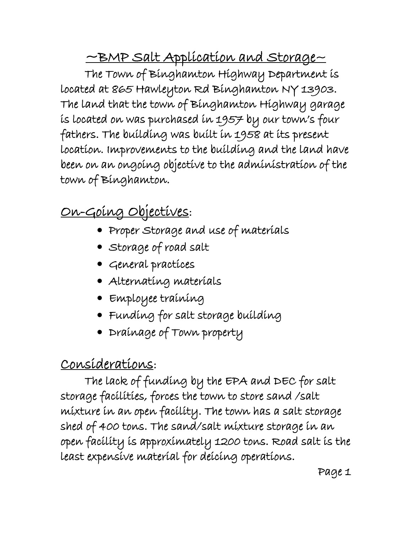~BMP Salt Application and Storage~

The Town of Binghamton Highway Department is located at 865 Hawleyton Rd Binghamton NY 13903. The land that the town of Binghamton Highway garage is located on was purchased in 1957 by our town's four fathers. The building was built in 1958 at its present location. Improvements to the building and the land have been on an ongoing objective to the administration of the town of Binghamton.

# On-Going Objectives:

- Proper Storage and use of materials
- Storage of road salt
- General practices
- Alternating materials
- Employee training
- Funding for salt storage building
- Drainage of Town property

## Considerations:

The lack of funding by the EPA and DEC for salt storage facilities, forces the town to store sand /salt mixture in an open facility. The town has a salt storage shed of 400 tons. The sand/salt mixture storage in an open facility is approximately 1200 tons. Road salt is the least expensive material for deicing operations.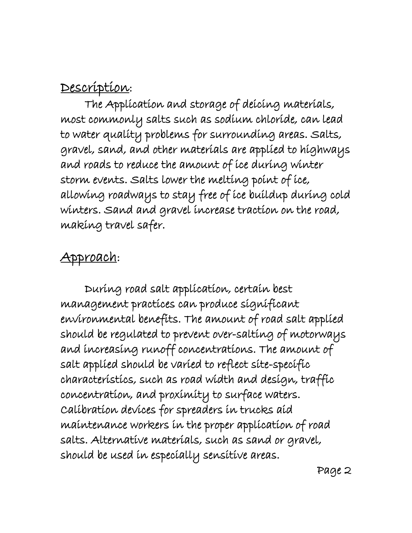#### Description:

 The Application and storage of deicing materials, most commonly salts such as sodium chloride, can lead to water quality problems for surrounding areas. Salts, gravel, sand, and other materials are applied to highways and roads to reduce the amount of ice during winter storm events. Salts lower the melting point of ice, allowing roadways to stay free of ice buildup during cold winters. Sand and gravel increase traction on the road, making travel safer.

#### Approach:

 During road salt application, certain best management practices can produce significant environmental benefits. The amount of road salt applied should be regulated to prevent over-salting of motorways and increasing runoff concentrations. The amount of salt applied should be varied to reflect site-specific characteristics, such as road width and design, traffic concentration, and proximity to surface waters. Calibration devices for spreaders in trucks aid maintenance workers in the proper application of road salts. Alternative materials, such as sand or gravel, should be used in especially sensitive areas.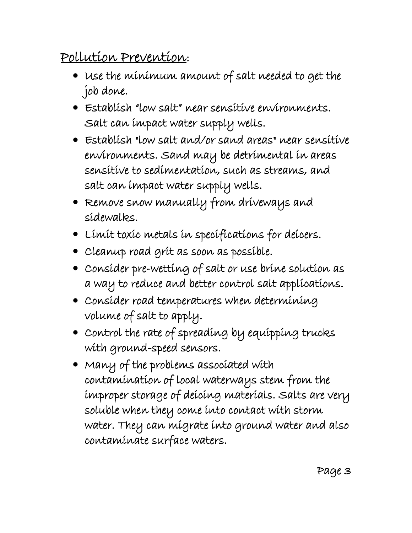## Pollution Prevention:

- Use the minimum amount of salt needed to get the job done.
- Establish "low salt" near sensitive environments. Salt can impact water supply wells.
- Establish "low salt and/or sand areas" near sensitive environments. Sand may be detrimental in areas sensitive to sedimentation, such as streams, and salt can impact water supply wells.
- Remove snow manually from driveways and sidewalks.
- Limit toxic metals in specifications for deicers.
- Cleanup road grit as soon as possible.
- Consider pre-wetting of salt or use brine solution as a way to reduce and better control salt applications.
- Consider road temperatures when determining volume of salt to apply.
- Control the rate of spreading by equipping trucks with ground-speed sensors.
- Many of the problems associated with contamination of local waterways stem from the improper storage of deicing materials. Salts are very soluble when they come into contact with storm water. They can migrate into ground water and also contaminate surface waters.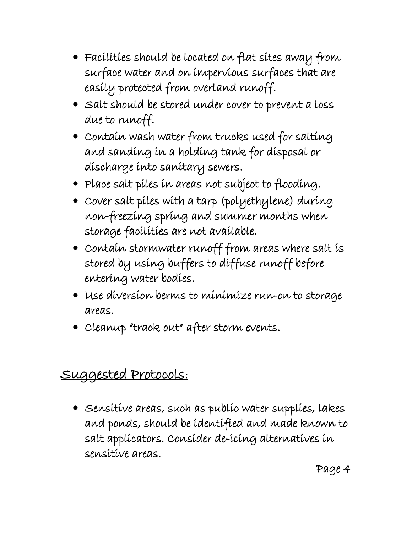- Facilities should be located on flat sites away from surface water and on impervious surfaces that are easily protected from overland runoff.
- Salt should be stored under cover to prevent a loss due to runoff.
- Contain wash water from trucks used for salting and sanding in a holding tank for disposal or discharge into sanitary sewers.
- Place salt piles in areas not subject to flooding.
- Cover salt piles with a tarp (polyethylene) during non-freezing spring and summer months when storage facilities are not available.
- Contain stormwater runoff from areas where salt is stored by using buffers to diffuse runoff before entering water bodies.
- Use diversion berms to minimize run-on to storage areas.
- Cleanup "track out" after storm events.

#### Suggested Protocols:

 Sensitive areas, such as public water supplies, lakes and ponds, should be identified and made known to salt applicators. Consider de-icing alternatives in sensitive areas.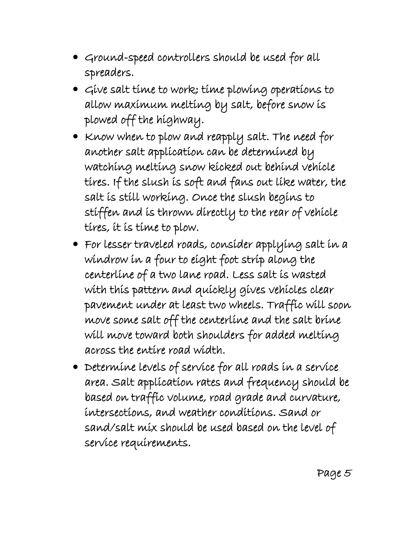- Ground-speed controllers should be used for all spreaders.
- Give salt time to work; time plowing operations to allow maximum melting by salt, before snow is plowed off the highway.
- Know when to plow and reapply salt. The need for another salt application can be determined by watching melting snow kicked out behind vehicle tires. If the slush is soft and fans out like water, the salt is still working. Once the slush begins to stiffen and is thrown directly to the rear of vehicle tires, it is time to plow.
- For lesser traveled roads, consider applying salt in a windrow in a four to eight foot strip along the centerline of a two lane road. Less salt is wasted with this pattern and quickly gives vehicles clear pavement under at least two wheels. Traffic will soon move some salt off the centerline and the salt brine will move toward both shoulders for added melting across the entire road width.
- $\bullet$  Determine levels of service for all roads in a service area. Salt application rates and frequency should be based on traffic volume, road grade and curvature, intersections, and weather conditions. Sand or sand/salt mix should be used based on the level of service requirements.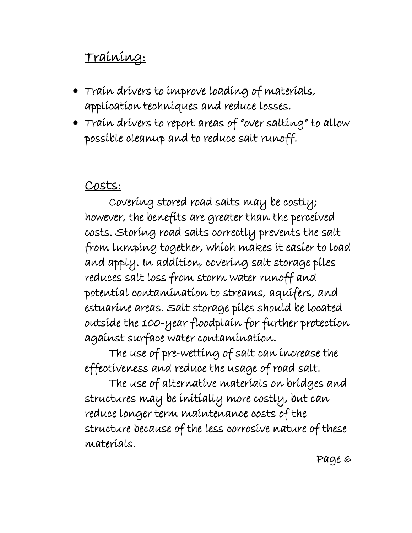### Training:

- Train drivers to improve loading of materials, application techniques and reduce losses.
- Train drivers to report areas of "over salting" to allow possible cleanup and to reduce salt runoff.

#### Costs:

Covering stored road salts may be costly; however, the benefits are greater than the perceived costs. Storing road salts correctly prevents the salt from lumping together, which makes it easier to load and apply. In addition, covering salt storage piles reduces salt loss from storm water runoff and potential contamination to streams, aquifers, and estuarine areas. Salt storage piles should be located outside the 100-year floodplain for further protection against surface water contamination.

The use of pre-wetting of salt can increase the effectiveness and reduce the usage of road salt.

The use of alternative materials on bridges and structures may be initially more costly, but can reduce longer term maintenance costs of the structure because of the less corrosive nature of these materials.